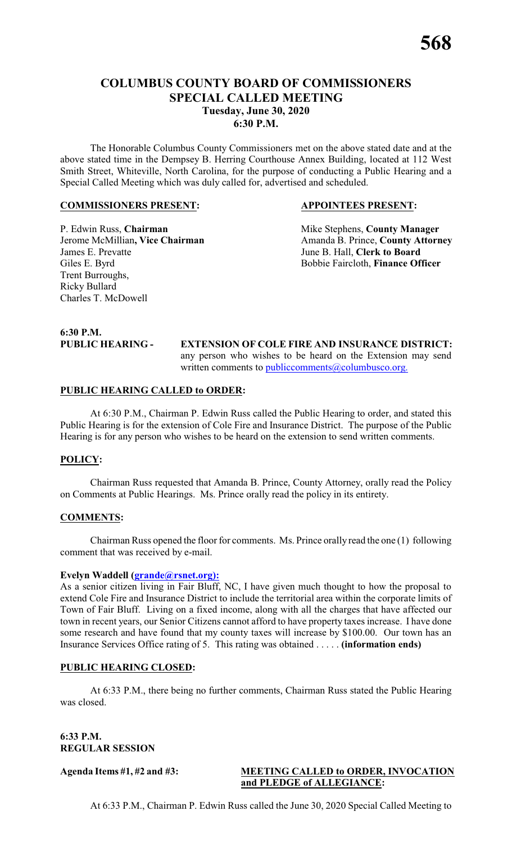# **COLUMBUS COUNTY BOARD OF COMMISSIONERS SPECIAL CALLED MEETING Tuesday, June 30, 2020 6:30 P.M.**

The Honorable Columbus County Commissioners met on the above stated date and at the above stated time in the Dempsey B. Herring Courthouse Annex Building, located at 112 West Smith Street, Whiteville, North Carolina, for the purpose of conducting a Public Hearing and a Special Called Meeting which was duly called for, advertised and scheduled.

#### **COMMISSIONERS PRESENT: APPOINTEES PRESENT:**

James E. Prevatte June B. Hall, **Clerk to Board** Giles E. Byrd Bobbie Faircloth, **Finance Officer** Trent Burroughs, Ricky Bullard Charles T. McDowell

P. Edwin Russ, **Chairman** Mike Stephens, **County Manager** Jerome McMillian, Vice Chairman Amanda B. Prince, County Attorney

# **6:30 P.M.**

**EXTENSION OF COLE FIRE AND INSURANCE DISTRICT:** any person who wishes to be heard on the Extension may send written comments to [publiccomments@columbusco.org.](mailto:publiccomments@columbusco.org.)

#### **PUBLIC HEARING CALLED to ORDER:**

At 6:30 P.M., Chairman P. Edwin Russ called the Public Hearing to order, and stated this Public Hearing is for the extension of Cole Fire and Insurance District. The purpose of the Public Hearing is for any person who wishes to be heard on the extension to send written comments.

#### **POLICY:**

Chairman Russ requested that Amanda B. Prince, County Attorney, orally read the Policy on Comments at Public Hearings. Ms. Prince orally read the policy in its entirety.

#### **COMMENTS:**

Chairman Russ opened the floor for comments. Ms. Prince orally read the one (1) following comment that was received by e-mail.

#### **Evelyn Waddell [\(grande@rsnet.org\):](mailto:grande@rsnet.org):)**

As a senior citizen living in Fair Bluff, NC, I have given much thought to how the proposal to extend Cole Fire and Insurance District to include the territorial area within the corporate limits of Town of Fair Bluff. Living on a fixed income, along with all the charges that have affected our town in recent years, our Senior Citizens cannot afford to have property taxes increase. I have done some research and have found that my county taxes will increase by \$100.00. Our town has an Insurance Services Office rating of 5. This rating was obtained . . . . . **(information ends)**

#### **PUBLIC HEARING CLOSED:**

At 6:33 P.M., there being no further comments, Chairman Russ stated the Public Hearing was closed.

#### **6:33 P.M. REGULAR SESSION**

#### **Agenda Items #1, #2 and #3: MEETING CALLED to ORDER, INVOCATION and PLEDGE of ALLEGIANCE:**

At 6:33 P.M., Chairman P. Edwin Russ called the June 30, 2020 Special Called Meeting to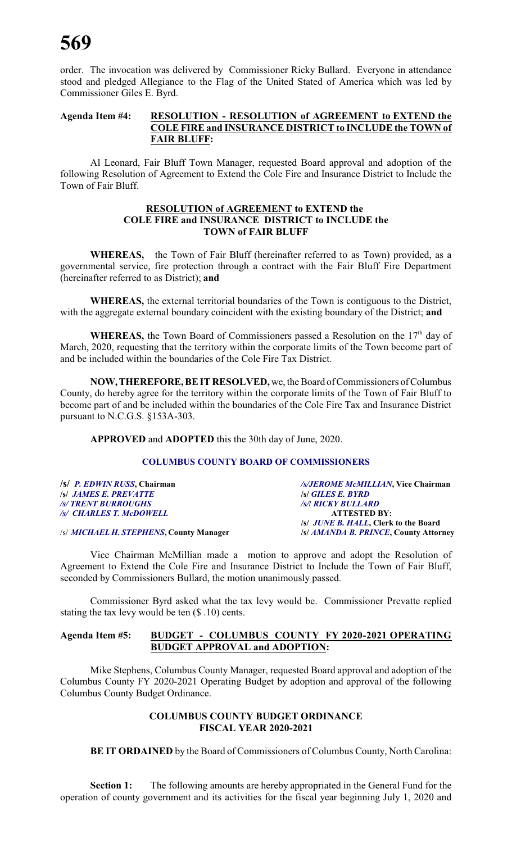order. The invocation was delivered by Commissioner Ricky Bullard. Everyone in attendance stood and pledged Allegiance to the Flag of the United Stated of America which was led by Commissioner Giles E. Byrd.

## **Agenda Item #4: RESOLUTION - RESOLUTION of AGREEMENT to EXTEND the COLE FIRE and INSURANCE DISTRICT to INCLUDE the TOWN of FAIR BLUFF:**

Al Leonard, Fair Bluff Town Manager, requested Board approval and adoption of the following Resolution of Agreement to Extend the Cole Fire and Insurance District to Include the Town of Fair Bluff.

#### **RESOLUTION of AGREEMENT to EXTEND the COLE FIRE and INSURANCE DISTRICT to INCLUDE the TOWN of FAIR BLUFF**

**WHEREAS,** the Town of Fair Bluff (hereinafter referred to as Town) provided, as a governmental service, fire protection through a contract with the Fair Bluff Fire Department (hereinafter referred to as District); **and**

**WHEREAS,** the external territorial boundaries of the Town is contiguous to the District, with the aggregate external boundary coincident with the existing boundary of the District; **and**

WHEREAS, the Town Board of Commissioners passed a Resolution on the 17<sup>th</sup> day of March, 2020, requesting that the territory within the corporate limits of the Town become part of and be included within the boundaries of the Cole Fire Tax District.

**NOW,THEREFORE,BE IT RESOLVED,** we, the Board of Commissioners of Columbus County, do hereby agree for the territory within the corporate limits of the Town of Fair Bluff to become part of and be included within the boundaries of the Cole Fire Tax and Insurance District pursuant to N.C.G.S. §153A-303.

**APPROVED** and **ADOPTED** this the 30th day of June, 2020.

### **COLUMBUS COUNTY BOARD OF COMMISSIONERS**

| $ S $ P. EDWIN RUSS, Chairman           | /s/JEROME McMILLIAN, Vice Chairman         |
|-----------------------------------------|--------------------------------------------|
| <b>S JAMES E. PREVATTE</b>              | <b>S GILES E. BYRD</b>                     |
| <b>/s/ TRENT BURROUGHS</b>              | /s/  RICKY BULLARD                         |
| /s/ CHARLES T. McDOWELL                 | <b>ATTESTED BY:</b>                        |
|                                         | <i>s JUNE B. HALL</i> , Clerk to the Board |
| /s/ MICHAEL H. STEPHENS, County Manager | /s/ AMANDA B. PRINCE, County Attorney      |

Vice Chairman McMillian made a motion to approve and adopt the Resolution of Agreement to Extend the Cole Fire and Insurance District to Include the Town of Fair Bluff, seconded by Commissioners Bullard, the motion unanimously passed.

Commissioner Byrd asked what the tax levy would be. Commissioner Prevatte replied stating the tax levy would be ten (\$ .10) cents.

#### **Agenda Item #5: BUDGET - COLUMBUS COUNTY FY 2020-2021 OPERATING BUDGET APPROVAL and ADOPTION:**

Mike Stephens, Columbus County Manager, requested Board approval and adoption of the Columbus County FY 2020-2021 Operating Budget by adoption and approval of the following Columbus County Budget Ordinance.

# **COLUMBUS COUNTY BUDGET ORDINANCE FISCAL YEAR 2020-2021**

**BE IT ORDAINED** by the Board of Commissioners of Columbus County, North Carolina:

**Section 1:** The following amounts are hereby appropriated in the General Fund for the operation of county government and its activities for the fiscal year beginning July 1, 2020 and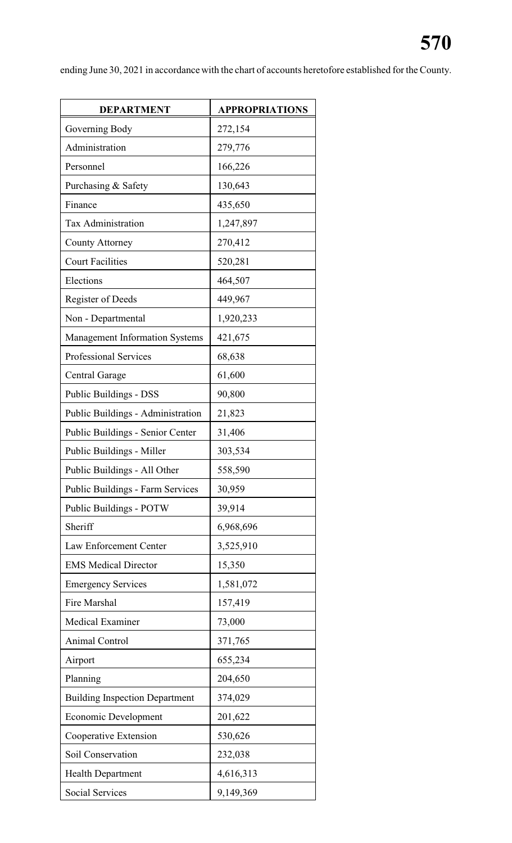ending June 30, 2021 in accordance with the chart of accounts heretofore established for the County.

| <b>DEPARTMENT</b>                     | <b>APPROPRIATIONS</b> |
|---------------------------------------|-----------------------|
| Governing Body                        | 272,154               |
| Administration                        | 279,776               |
| Personnel                             | 166,226               |
| Purchasing & Safety                   | 130,643               |
| Finance                               | 435,650               |
| <b>Tax Administration</b>             | 1,247,897             |
| <b>County Attorney</b>                | 270,412               |
| <b>Court Facilities</b>               | 520,281               |
| Elections                             | 464,507               |
| <b>Register of Deeds</b>              | 449,967               |
| Non - Departmental                    | 1,920,233             |
| <b>Management Information Systems</b> | 421,675               |
| Professional Services                 | 68,638                |
| <b>Central Garage</b>                 | 61,600                |
| Public Buildings - DSS                | 90,800                |
| Public Buildings - Administration     | 21,823                |
| Public Buildings - Senior Center      | 31,406                |
| Public Buildings - Miller             | 303,534               |
| Public Buildings - All Other          | 558,590               |
| Public Buildings - Farm Services      | 30,959                |
| Public Buildings - POTW               | 39,914                |
| Sheriff                               | 6,968,696             |
| Law Enforcement Center                | 3,525,910             |
| <b>EMS</b> Medical Director           | 15,350                |
| <b>Emergency Services</b>             | 1,581,072             |
| Fire Marshal                          | 157,419               |
| <b>Medical Examiner</b>               | 73,000                |
| <b>Animal Control</b>                 | 371,765               |
| Airport                               | 655,234               |
| Planning                              | 204,650               |
| <b>Building Inspection Department</b> | 374,029               |
| <b>Economic Development</b>           | 201,622               |
| Cooperative Extension                 | 530,626               |
| Soil Conservation                     | 232,038               |
| <b>Health Department</b>              | 4,616,313             |
| <b>Social Services</b>                | 9,149,369             |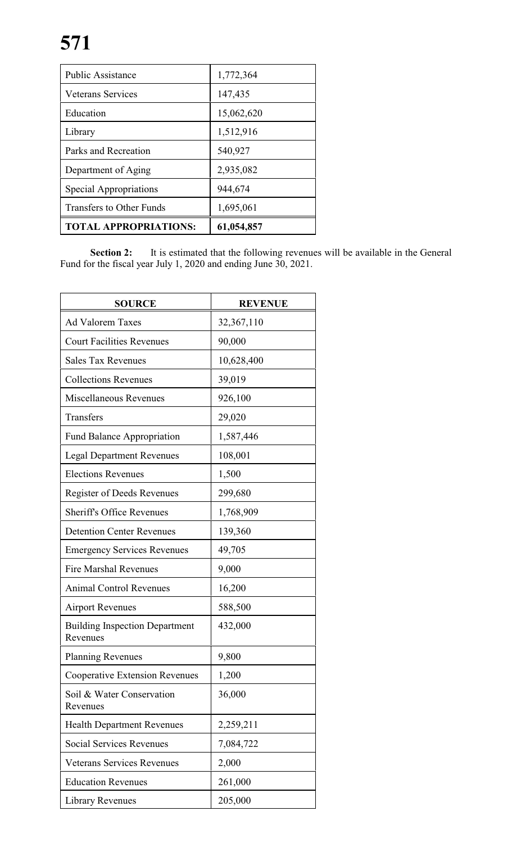| <b>Public Assistance</b>        | 1,772,364  |
|---------------------------------|------------|
| <b>Veterans Services</b>        | 147,435    |
| Education                       | 15,062,620 |
| Library                         | 1,512,916  |
| Parks and Recreation            | 540,927    |
| Department of Aging             | 2,935,082  |
| Special Appropriations          | 944,674    |
| <b>Transfers to Other Funds</b> | 1,695,061  |
| <b>TOTAL APPROPRIATIONS:</b>    | 61,054,857 |

**Section 2:** It is estimated that the following revenues will be available in the General Fund for the fiscal year July 1, 2020 and ending June 30, 2021.

| <b>SOURCE</b>                                     | <b>REVENUE</b> |
|---------------------------------------------------|----------------|
| <b>Ad Valorem Taxes</b>                           | 32,367,110     |
| <b>Court Facilities Revenues</b>                  | 90,000         |
| <b>Sales Tax Revenues</b>                         | 10,628,400     |
| <b>Collections Revenues</b>                       | 39,019         |
| Miscellaneous Revenues                            | 926,100        |
| Transfers                                         | 29,020         |
| <b>Fund Balance Appropriation</b>                 | 1,587,446      |
| <b>Legal Department Revenues</b>                  | 108,001        |
| <b>Elections Revenues</b>                         | 1,500          |
| <b>Register of Deeds Revenues</b>                 | 299,680        |
| <b>Sheriff's Office Revenues</b>                  | 1,768,909      |
| <b>Detention Center Revenues</b>                  | 139,360        |
| <b>Emergency Services Revenues</b>                | 49,705         |
| <b>Fire Marshal Revenues</b>                      | 9,000          |
| <b>Animal Control Revenues</b>                    | 16,200         |
| <b>Airport Revenues</b>                           | 588,500        |
| <b>Building Inspection Department</b><br>Revenues | 432,000        |
| <b>Planning Revenues</b>                          | 9,800          |
| <b>Cooperative Extension Revenues</b>             | 1,200          |
| Soil & Water Conservation<br>Revenues             | 36,000         |
| <b>Health Department Revenues</b>                 | 2,259,211      |
| <b>Social Services Revenues</b>                   | 7,084,722      |
| <b>Veterans Services Revenues</b>                 | 2,000          |
| <b>Education Revenues</b>                         | 261,000        |
| Library Revenues                                  | 205,000        |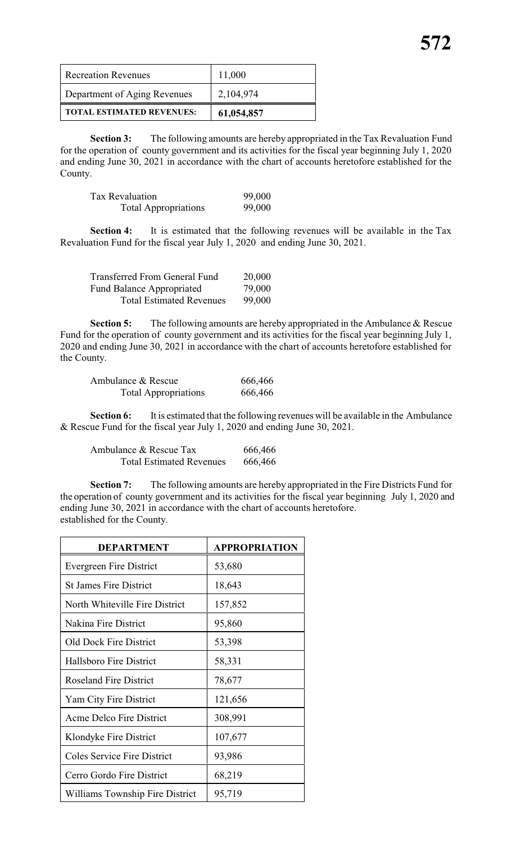| <b>Recreation Revenues</b>       | 11,000     |
|----------------------------------|------------|
| Department of Aging Revenues     | 2,104,974  |
| <b>TOTAL ESTIMATED REVENUES:</b> | 61,054,857 |

**Section 3:** The following amounts are hereby appropriated in the Tax Revaluation Fund for the operation of county government and its activities for the fiscal year beginning July 1, 2020 and ending June 30, 2021 in accordance with the chart of accounts heretofore established for the County.

| Tax Revaluation             | 99,000 |
|-----------------------------|--------|
| <b>Total Appropriations</b> | 99,000 |

**Section 4:** It is estimated that the following revenues will be available in the Tax Revaluation Fund for the fiscal year July 1, 2020 and ending June 30, 2021.

| <b>Transferred From General Fund</b> | 20,000 |
|--------------------------------------|--------|
| <b>Fund Balance Appropriated</b>     | 79,000 |
| <b>Total Estimated Revenues</b>      | 99,000 |

**Section 5:** The following amounts are hereby appropriated in the Ambulance & Rescue Fund for the operation of county government and its activities for the fiscal year beginning July 1, 2020 and ending June 30, 2021 in accordance with the chart of accounts heretofore established for the County.

| Ambulance & Rescue          | 666,466 |
|-----------------------------|---------|
| <b>Total Appropriations</b> | 666,466 |

**Section 6:** It is estimated that the following revenues will be available in the Ambulance & Rescue Fund for the fiscal year July 1, 2020 and ending June 30, 2021.

Ambulance & Rescue Tax 666,466 Total Estimated Revenues 666,466

**Section 7:** The following amounts are hereby appropriated in the Fire Districts Fund for the operation of county government and its activities for the fiscal year beginning July 1, 2020 and ending June 30, 2021 in accordance with the chart of accounts heretofore. established for the County.

| <b>DEPARTMENT</b>                  | <b>APPROPRIATION</b> |
|------------------------------------|----------------------|
| <b>Evergreen Fire District</b>     | 53,680               |
| <b>St James Fire District</b>      | 18,643               |
| North Whiteville Fire District     | 157,852              |
| Nakina Fire District               | 95,860               |
| <b>Old Dock Fire District</b>      | 53,398               |
| <b>Hallsboro Fire District</b>     | 58,331               |
| <b>Roseland Fire District</b>      | 78,677               |
| Yam City Fire District             | 121,656              |
| Acme Delco Fire District           | 308,991              |
| Klondyke Fire District             | 107,677              |
| <b>Coles Service Fire District</b> | 93,986               |
| Cerro Gordo Fire District          | 68,219               |
| Williams Township Fire District    | 95,719               |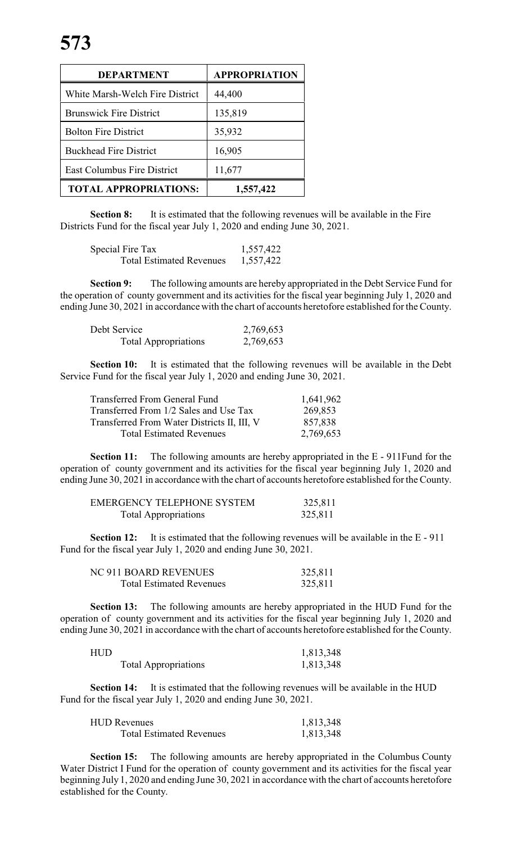| <b>DEPARTMENT</b>                  | <b>APPROPRIATION</b> |
|------------------------------------|----------------------|
| White Marsh-Welch Fire District    | 44,400               |
| <b>Brunswick Fire District</b>     | 135,819              |
| <b>Bolton Fire District</b>        | 35,932               |
| <b>Buckhead Fire District</b>      | 16,905               |
| <b>East Columbus Fire District</b> | 11,677               |
| <b>TOTAL APPROPRIATIONS:</b>       | 1,557,422            |

**Section 8:** It is estimated that the following revenues will be available in the Fire Districts Fund for the fiscal year July 1, 2020 and ending June 30, 2021.

| Special Fire Tax                | 1,557,422 |
|---------------------------------|-----------|
| <b>Total Estimated Revenues</b> | 1,557,422 |

**Section 9:** The following amounts are hereby appropriated in the Debt Service Fund for the operation of county government and its activities for the fiscal year beginning July 1, 2020 and ending June 30, 2021 in accordance with the chart of accounts heretofore established for the County.

| Debt Service                | 2,769,653 |
|-----------------------------|-----------|
| <b>Total Appropriations</b> | 2,769,653 |

**Section 10:** It is estimated that the following revenues will be available in the Debt Service Fund for the fiscal year July 1, 2020 and ending June 30, 2021.

| <b>Transferred From General Fund</b>        | 1,641,962 |
|---------------------------------------------|-----------|
| Transferred From 1/2 Sales and Use Tax      | 269,853   |
| Transferred From Water Districts II, III, V | 857,838   |
| <b>Total Estimated Revenues</b>             | 2,769,653 |

**Section 11:** The following amounts are hereby appropriated in the E - 911Fund for the operation of county government and its activities for the fiscal year beginning July 1, 2020 and ending June 30, 2021 in accordance with the chart of accounts heretofore established for the County.

| <b>EMERGENCY TELEPHONE SYSTEM</b> | 325,811 |
|-----------------------------------|---------|
| <b>Total Appropriations</b>       | 325,811 |

**Section 12:** It is estimated that the following revenues will be available in the E - 911 Fund for the fiscal year July 1, 2020 and ending June 30, 2021.

| NC 911 BOARD REVENUES           | 325,811 |
|---------------------------------|---------|
| <b>Total Estimated Revenues</b> | 325,811 |

**Section 13:** The following amounts are hereby appropriated in the HUD Fund for the operation of county government and its activities for the fiscal year beginning July 1, 2020 and ending June 30, 2021 in accordance with the chart of accounts heretofore established for the County.

| HUD |                             | 1,813,348 |
|-----|-----------------------------|-----------|
|     | <b>Total Appropriations</b> | 1,813,348 |

**Section 14:** It is estimated that the following revenues will be available in the HUD Fund for the fiscal year July 1, 2020 and ending June 30, 2021.

| <b>HUD Revenues</b>             | 1,813,348 |
|---------------------------------|-----------|
| <b>Total Estimated Revenues</b> | 1,813,348 |

**Section 15:** The following amounts are hereby appropriated in the Columbus County Water District I Fund for the operation of county government and its activities for the fiscal year beginning July 1, 2020 and ending June 30, 2021 in accordance with the chart of accounts heretofore established for the County.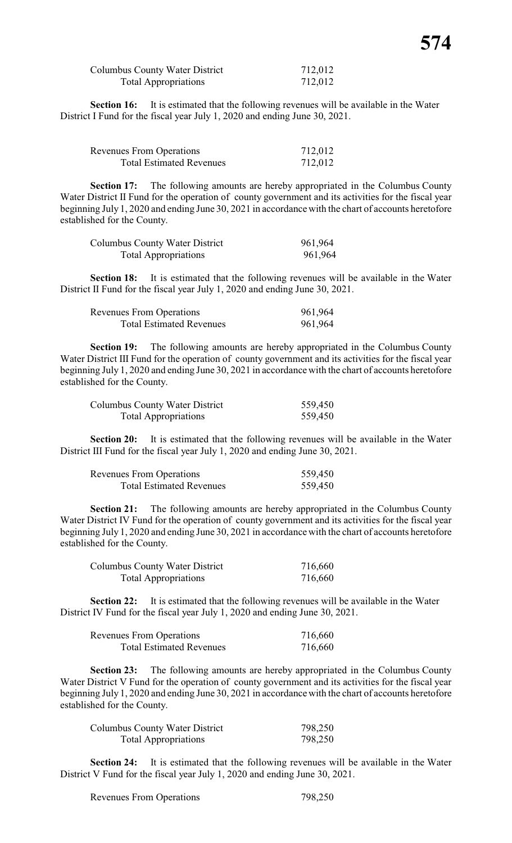| Columbus County Water District | 712,012 |
|--------------------------------|---------|
| <b>Total Appropriations</b>    | 712,012 |

**Section 16:** It is estimated that the following revenues will be available in the Water District I Fund for the fiscal year July 1, 2020 and ending June 30, 2021.

| <b>Revenues From Operations</b> | 712,012 |
|---------------------------------|---------|
| <b>Total Estimated Revenues</b> | 712,012 |

**Section 17:** The following amounts are hereby appropriated in the Columbus County Water District II Fund for the operation of county government and its activities for the fiscal year beginning July 1, 2020 and ending June 30, 2021 in accordance with the chart of accounts heretofore established for the County.

| Columbus County Water District | 961,964 |
|--------------------------------|---------|
| <b>Total Appropriations</b>    | 961,964 |

**Section 18:** It is estimated that the following revenues will be available in the Water District II Fund for the fiscal year July 1, 2020 and ending June 30, 2021.

| <b>Revenues From Operations</b> | 961,964 |
|---------------------------------|---------|
| <b>Total Estimated Revenues</b> | 961,964 |

**Section 19:** The following amounts are hereby appropriated in the Columbus County Water District III Fund for the operation of county government and its activities for the fiscal year beginning July 1, 2020 and ending June 30, 2021 in accordance with the chart of accounts heretofore established for the County.

| Columbus County Water District | 559,450 |
|--------------------------------|---------|
| <b>Total Appropriations</b>    | 559,450 |

**Section 20:** It is estimated that the following revenues will be available in the Water District III Fund for the fiscal year July 1, 2020 and ending June 30, 2021.

| <b>Revenues From Operations</b> | 559,450 |
|---------------------------------|---------|
| <b>Total Estimated Revenues</b> | 559,450 |

**Section 21:** The following amounts are hereby appropriated in the Columbus County Water District IV Fund for the operation of county government and its activities for the fiscal year beginning July 1, 2020 and ending June 30, 2021 in accordance with the chart of accounts heretofore established for the County.

| Columbus County Water District | 716,660 |
|--------------------------------|---------|
| <b>Total Appropriations</b>    | 716,660 |

**Section 22:** It is estimated that the following revenues will be available in the Water District IV Fund for the fiscal year July 1, 2020 and ending June 30, 2021.

| <b>Revenues From Operations</b> | 716,660 |
|---------------------------------|---------|
| <b>Total Estimated Revenues</b> | 716,660 |

**Section 23:** The following amounts are hereby appropriated in the Columbus County Water District V Fund for the operation of county government and its activities for the fiscal year beginning July 1, 2020 and ending June 30, 2021 in accordance with the chart of accounts heretofore established for the County.

| Columbus County Water District | 798,250 |
|--------------------------------|---------|
| <b>Total Appropriations</b>    | 798,250 |

**Section 24:** It is estimated that the following revenues will be available in the Water District V Fund for the fiscal year July 1, 2020 and ending June 30, 2021.

Revenues From Operations 798,250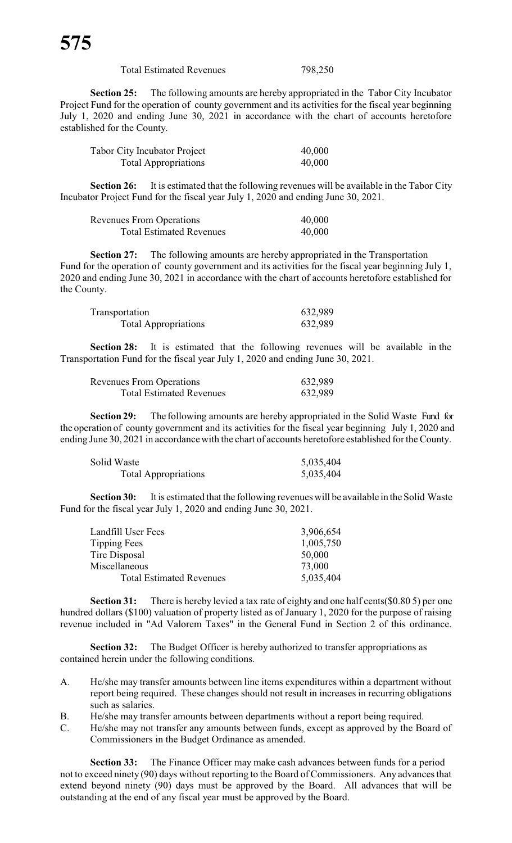Total Estimated Revenues 798,250

**Section 25:** The following amounts are hereby appropriated in the Tabor City Incubator Project Fund for the operation of county government and its activities for the fiscal year beginning July 1, 2020 and ending June 30, 2021 in accordance with the chart of accounts heretofore established for the County.

| <b>Tabor City Incubator Project</b> | 40,000 |
|-------------------------------------|--------|
| <b>Total Appropriations</b>         | 40,000 |

**Section 26:** It is estimated that the following revenues will be available in the Tabor City Incubator Project Fund for the fiscal year July 1, 2020 and ending June 30, 2021.

| <b>Revenues From Operations</b> | 40,000 |
|---------------------------------|--------|
| <b>Total Estimated Revenues</b> | 40,000 |

**Section 27:** The following amounts are hereby appropriated in the Transportation Fund for the operation of county government and its activities for the fiscal year beginning July 1, 2020 and ending June 30, 2021 in accordance with the chart of accounts heretofore established for the County.

| Transportation              | 632,989 |
|-----------------------------|---------|
| <b>Total Appropriations</b> | 632,989 |

**Section 28:** It is estimated that the following revenues will be available in the Transportation Fund for the fiscal year July 1, 2020 and ending June 30, 2021.

| <b>Revenues From Operations</b> | 632,989 |
|---------------------------------|---------|
| <b>Total Estimated Revenues</b> | 632,989 |

**Section 29:** The following amounts are hereby appropriated in the Solid Waste Fund for the operation of county government and its activities for the fiscal year beginning July 1, 2020 and ending June 30, 2021 in accordance with the chart of accounts heretofore established for the County.

| Solid Waste                 | 5,035,404 |
|-----------------------------|-----------|
| <b>Total Appropriations</b> | 5,035,404 |

**Section 30:** It is estimated that the following revenues will be available in the Solid Waste Fund for the fiscal year July 1, 2020 and ending June 30, 2021.

| Landfill User Fees<br>3,906,654              |  |
|----------------------------------------------|--|
| Tipping Fees<br>1,005,750                    |  |
| Tire Disposal<br>50,000                      |  |
| Miscellaneous<br>73,000                      |  |
| <b>Total Estimated Revenues</b><br>5,035,404 |  |

**Section 31:** There is hereby levied a tax rate of eighty and one half cents(\$0.80 5) per one hundred dollars (\$100) valuation of property listed as of January 1, 2020 for the purpose of raising revenue included in "Ad Valorem Taxes" in the General Fund in Section 2 of this ordinance.

**Section 32:** The Budget Officer is hereby authorized to transfer appropriations as contained herein under the following conditions.

- A. He/she may transfer amounts between line items expenditures within a department without report being required. These changes should not result in increases in recurring obligations such as salaries.
- B. He/she may transfer amounts between departments without a report being required.
- C. He/she may not transfer any amounts between funds, except as approved by the Board of Commissioners in the Budget Ordinance as amended.

**Section 33:** The Finance Officer may make cash advances between funds for a period not to exceed ninety (90) days without reporting to the Board of Commissioners. Any advances that extend beyond ninety (90) days must be approved by the Board. All advances that will be outstanding at the end of any fiscal year must be approved by the Board.